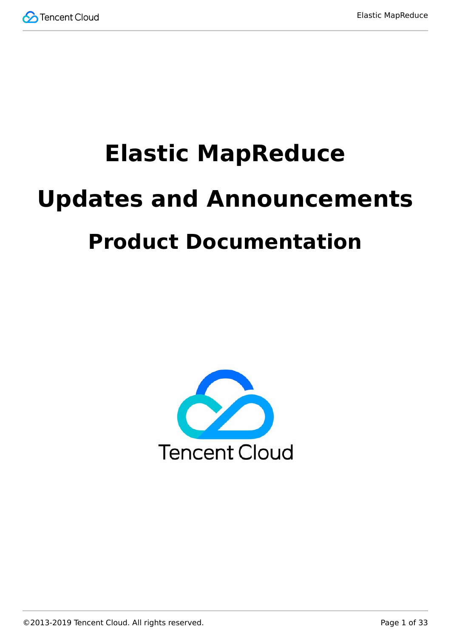

# **Elastic MapReduce Updates and Announcements Product Documentation**

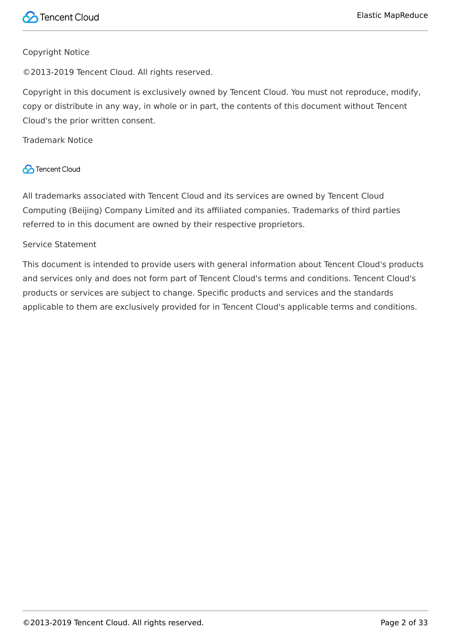#### Copyright Notice

©2013-2019 Tencent Cloud. All rights reserved.

Copyright in this document is exclusively owned by Tencent Cloud. You must not reproduce, modify, copy or distribute in any way, in whole or in part, the contents of this document without Tencent Cloud's the prior written consent.

Trademark Notice

#### **C** Tencent Cloud

All trademarks associated with Tencent Cloud and its services are owned by Tencent Cloud Computing (Beijing) Company Limited and its affiliated companies. Trademarks of third parties referred to in this document are owned by their respective proprietors.

#### Service Statement

This document is intended to provide users with general information about Tencent Cloud's products and services only and does not form part of Tencent Cloud's terms and conditions. Tencent Cloud's products or services are subject to change. Specific products and services and the standards applicable to them are exclusively provided for in Tencent Cloud's applicable terms and conditions.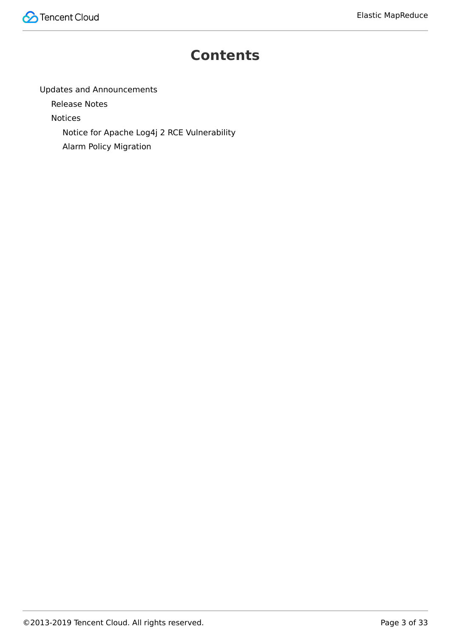

#### **Contents**

[Updates and Announcements](#page-3-0)

[Release Notes](#page-3-1)

[Notices](#page-24-0)

[Notice for Apache Log4j 2 RCE Vulnerability](#page-24-1)

[Alarm Policy Migration](#page-28-0)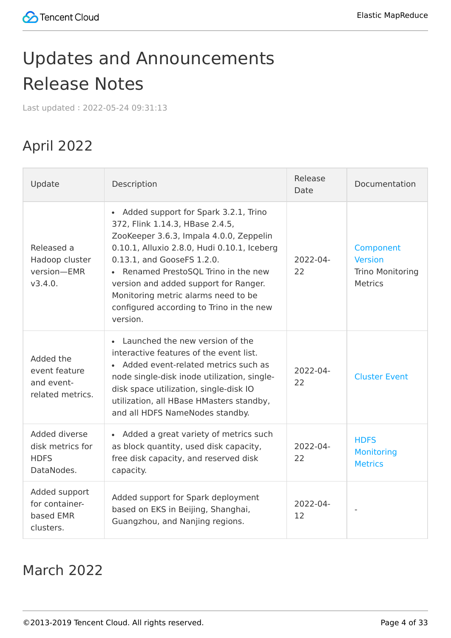# <span id="page-3-1"></span><span id="page-3-0"></span>Updates and Announcements Release Notes

Last updated:2022-05-24 09:31:13

## April 2022

| Update                                                         | Description                                                                                                                                                                                                                                                                                                                                                                                  | Release<br>Date     | Documentation                                                            |
|----------------------------------------------------------------|----------------------------------------------------------------------------------------------------------------------------------------------------------------------------------------------------------------------------------------------------------------------------------------------------------------------------------------------------------------------------------------------|---------------------|--------------------------------------------------------------------------|
| Released a<br>Hadoop cluster<br>version-EMR<br>V3.4.0.         | Added support for Spark 3.2.1, Trino<br>$\bullet$<br>372, Flink 1.14.3, HBase 2.4.5,<br>ZooKeeper 3.6.3, Impala 4.0.0, Zeppelin<br>0.10.1, Alluxio 2.8.0, Hudi 0.10.1, Iceberg<br>0.13.1, and GooseFS 1.2.0.<br>• Renamed PrestoSQL Trino in the new<br>version and added support for Ranger.<br>Monitoring metric alarms need to be<br>configured according to Trino in the new<br>version. | 2022-04-<br>22      | Component<br><b>Version</b><br><b>Trino Monitoring</b><br><b>Metrics</b> |
| Added the<br>event feature<br>and event-<br>related metrics.   | • Launched the new version of the<br>interactive features of the event list.<br>Added event-related metrics such as<br>$\bullet$<br>node single-disk inode utilization, single-<br>disk space utilization, single-disk IO<br>utilization, all HBase HMasters standby,<br>and all HDFS NameNodes standby.                                                                                     | $2022 - 04 -$<br>22 | <b>Cluster Event</b>                                                     |
| Added diverse<br>disk metrics for<br><b>HDFS</b><br>DataNodes. | • Added a great variety of metrics such<br>as block quantity, used disk capacity,<br>free disk capacity, and reserved disk<br>capacity.                                                                                                                                                                                                                                                      | $2022 - 04 -$<br>22 | <b>HDFS</b><br><b>Monitoring</b><br><b>Metrics</b>                       |
| Added support<br>for container-<br>based EMR<br>clusters.      | Added support for Spark deployment<br>based on EKS in Beijing, Shanghai,<br>Guangzhou, and Nanjing regions.                                                                                                                                                                                                                                                                                  | 2022-04-<br>12      |                                                                          |

#### March 2022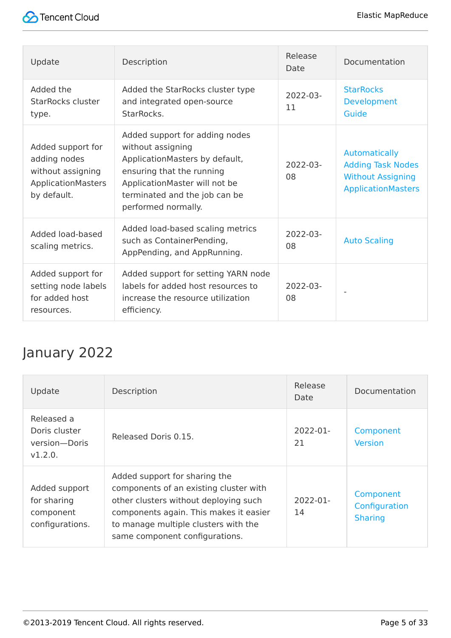| Update                                                                                      | Description                                                                                                                                                                                                 | Release<br>Date     | Documentation                                                                                      |
|---------------------------------------------------------------------------------------------|-------------------------------------------------------------------------------------------------------------------------------------------------------------------------------------------------------------|---------------------|----------------------------------------------------------------------------------------------------|
| Added the<br><b>StarRocks cluster</b><br>type.                                              | Added the StarRocks cluster type<br>and integrated open-source<br>StarRocks.                                                                                                                                | 2022-03-<br>11      | <b>StarRocks</b><br>Development<br>Guide                                                           |
| Added support for<br>adding nodes<br>without assigning<br>ApplicationMasters<br>by default. | Added support for adding nodes<br>without assigning<br>ApplicationMasters by default,<br>ensuring that the running<br>ApplicationMaster will not be<br>terminated and the job can be<br>performed normally. | 2022-03-<br>08      | Automatically<br><b>Adding Task Nodes</b><br><b>Without Assigning</b><br><b>ApplicationMasters</b> |
| Added load-based<br>scaling metrics.                                                        | Added load-based scaling metrics<br>such as ContainerPending,<br>AppPending, and AppRunning.                                                                                                                | $2022 - 03 -$<br>08 | <b>Auto Scaling</b>                                                                                |
| Added support for<br>setting node labels<br>for added host<br>resources.                    | Added support for setting YARN node<br>labels for added host resources to<br>increase the resource utilization<br>efficiency.                                                                               | $2022 - 03 -$<br>08 |                                                                                                    |

### January 2022

| Update                                                       | Description                                                                                                                                                                                                                          | Release<br>Date     | Documentation                                |
|--------------------------------------------------------------|--------------------------------------------------------------------------------------------------------------------------------------------------------------------------------------------------------------------------------------|---------------------|----------------------------------------------|
| Released a<br>Doris cluster<br>version-Doris<br>V1.2.0.      | Released Doris 0.15.                                                                                                                                                                                                                 | $2022 - 01 -$<br>21 | Component<br><b>Version</b>                  |
| Added support<br>for sharing<br>component<br>configurations. | Added support for sharing the<br>components of an existing cluster with<br>other clusters without deploying such<br>components again. This makes it easier<br>to manage multiple clusters with the<br>same component configurations. | $2022 - 01 -$<br>14 | Component<br>Configuration<br><b>Sharing</b> |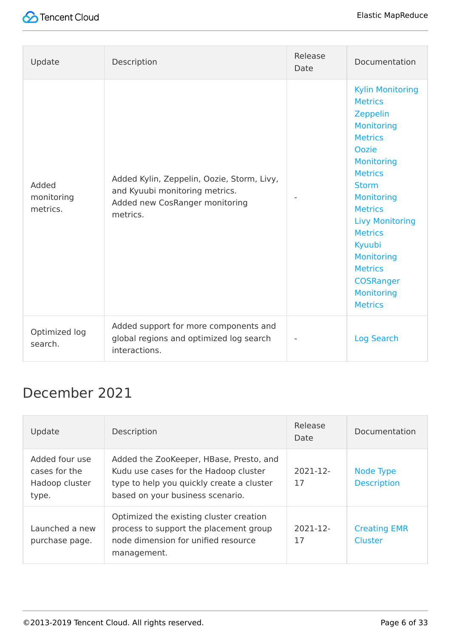

| Update                          | Description                                                                                                                | Release<br>Date | Documentation                                                                                                                                                                                                                                                                                                                                               |
|---------------------------------|----------------------------------------------------------------------------------------------------------------------------|-----------------|-------------------------------------------------------------------------------------------------------------------------------------------------------------------------------------------------------------------------------------------------------------------------------------------------------------------------------------------------------------|
| Added<br>monitoring<br>metrics. | Added Kylin, Zeppelin, Oozie, Storm, Livy,<br>and Kyuubi monitoring metrics.<br>Added new CosRanger monitoring<br>metrics. |                 | <b>Kylin Monitoring</b><br><b>Metrics</b><br>Zeppelin<br><b>Monitoring</b><br><b>Metrics</b><br>Oozie<br><b>Monitoring</b><br><b>Metrics</b><br><b>Storm</b><br><b>Monitoring</b><br><b>Metrics</b><br><b>Livy Monitoring</b><br><b>Metrics</b><br>Kyuubi<br><b>Monitoring</b><br><b>Metrics</b><br><b>COSRanger</b><br><b>Monitoring</b><br><b>Metrics</b> |
| Optimized log<br>search.        | Added support for more components and<br>global regions and optimized log search<br>interactions.                          |                 | <b>Log Search</b>                                                                                                                                                                                                                                                                                                                                           |

#### December 2021

| Update                                                     | Description                                                                                                                                                       | Release<br>Date | Documentation                   |
|------------------------------------------------------------|-------------------------------------------------------------------------------------------------------------------------------------------------------------------|-----------------|---------------------------------|
| Added four use<br>cases for the<br>Hadoop cluster<br>type. | Added the ZooKeeper, HBase, Presto, and<br>Kudu use cases for the Hadoop cluster<br>type to help you quickly create a cluster<br>based on your business scenario. | 2021-12-<br>17  | Node Type<br><b>Description</b> |
| Launched a new<br>purchase page.                           | Optimized the existing cluster creation<br>process to support the placement group<br>node dimension for unified resource<br>management.                           | 2021-12-<br>17  | <b>Creating EMR</b><br>Cluster  |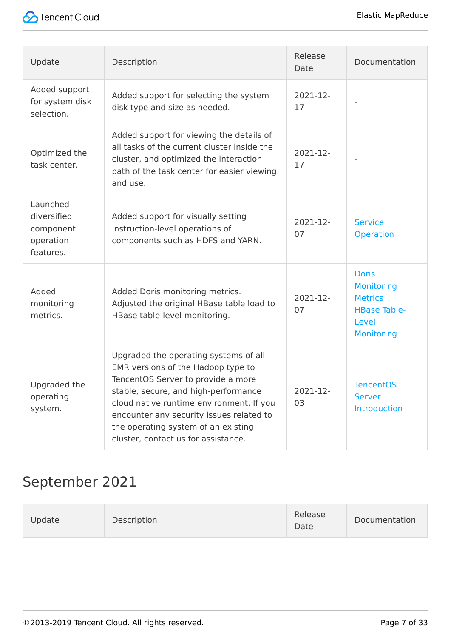

| Update                                                         | Description                                                                                                                                                                                                                                                                                                                     | Release<br>Date | Documentation                                                                                            |
|----------------------------------------------------------------|---------------------------------------------------------------------------------------------------------------------------------------------------------------------------------------------------------------------------------------------------------------------------------------------------------------------------------|-----------------|----------------------------------------------------------------------------------------------------------|
| Added support<br>for system disk<br>selection.                 | Added support for selecting the system<br>disk type and size as needed.                                                                                                                                                                                                                                                         | 2021-12-<br>17  |                                                                                                          |
| Optimized the<br>task center.                                  | Added support for viewing the details of<br>all tasks of the current cluster inside the<br>cluster, and optimized the interaction<br>path of the task center for easier viewing<br>and use.                                                                                                                                     | 2021-12-<br>17  |                                                                                                          |
| Launched<br>diversified<br>component<br>operation<br>features. | Added support for visually setting<br>instruction-level operations of<br>components such as HDFS and YARN.                                                                                                                                                                                                                      | 2021-12-<br>07  | <b>Service</b><br><b>Operation</b>                                                                       |
| Added<br>monitoring<br>metrics.                                | Added Doris monitoring metrics.<br>Adjusted the original HBase table load to<br>HBase table-level monitoring.                                                                                                                                                                                                                   | 2021-12-<br>07  | <b>Doris</b><br><b>Monitoring</b><br><b>Metrics</b><br><b>HBase Table-</b><br>Level<br><b>Monitoring</b> |
| Upgraded the<br>operating<br>system.                           | Upgraded the operating systems of all<br>EMR versions of the Hadoop type to<br>TencentOS Server to provide a more<br>stable, secure, and high-performance<br>cloud native runtime environment. If you<br>encounter any security issues related to<br>the operating system of an existing<br>cluster, contact us for assistance. | 2021-12-<br>03  | <b>TencentOS</b><br><b>Server</b><br><b>Introduction</b>                                                 |

#### September 2021

| <b>Jpdate</b><br>Description | Release<br>Date | Documentation |
|------------------------------|-----------------|---------------|
|------------------------------|-----------------|---------------|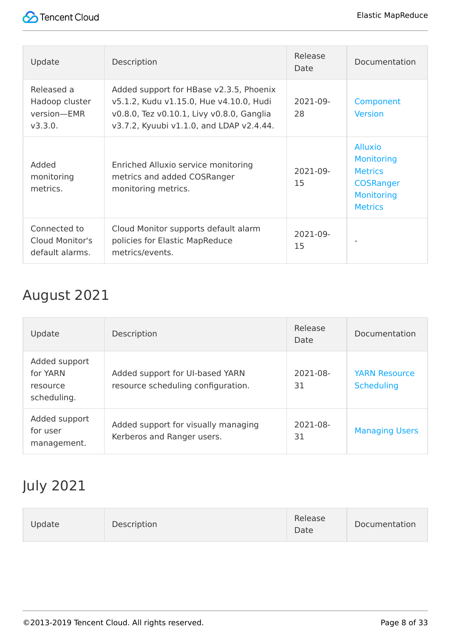

| Update                                                 | Description                                                                                                                                                                 | Release<br>Date | Documentation                                                                                                    |
|--------------------------------------------------------|-----------------------------------------------------------------------------------------------------------------------------------------------------------------------------|-----------------|------------------------------------------------------------------------------------------------------------------|
| Released a<br>Hadoop cluster<br>version-EMR<br>V3.3.0. | Added support for HBase v2.3.5, Phoenix<br>v5.1.2, Kudu v1.15.0, Hue v4.10.0, Hudi<br>v0.8.0, Tez v0.10.1, Livy v0.8.0, Ganglia<br>v3.7.2, Kyuubi v1.1.0, and LDAP v2.4.44. | 2021-09-<br>28  | Component<br><b>Version</b>                                                                                      |
| Added<br>monitoring<br>metrics.                        | Enriched Alluxio service monitoring<br>metrics and added COSRanger<br>monitoring metrics.                                                                                   | 2021-09-<br>15  | <b>Alluxio</b><br><b>Monitoring</b><br><b>Metrics</b><br><b>COSRanger</b><br><b>Monitoring</b><br><b>Metrics</b> |
| Connected to<br>Cloud Monitor's<br>default alarms.     | Cloud Monitor supports default alarm<br>policies for Elastic MapReduce<br>metrics/events.                                                                                   | 2021-09-<br>15  |                                                                                                                  |

### August 2021

| Update                                               | Description                                                           | Release<br>Date     | Documentation                             |
|------------------------------------------------------|-----------------------------------------------------------------------|---------------------|-------------------------------------------|
| Added support<br>for YARN<br>resource<br>scheduling. | Added support for UI-based YARN<br>resource scheduling configuration. | $2021 - 08 -$<br>31 | <b>YARN Resource</b><br><b>Scheduling</b> |
| Added support<br>for user<br>management.             | Added support for visually managing<br>Kerberos and Ranger users.     | $2021 - 08 -$<br>31 | <b>Managing Users</b>                     |

#### July 2021

| <b>Jpdate</b> | <b>Description</b> | Release<br>Date | Documentation |
|---------------|--------------------|-----------------|---------------|
|---------------|--------------------|-----------------|---------------|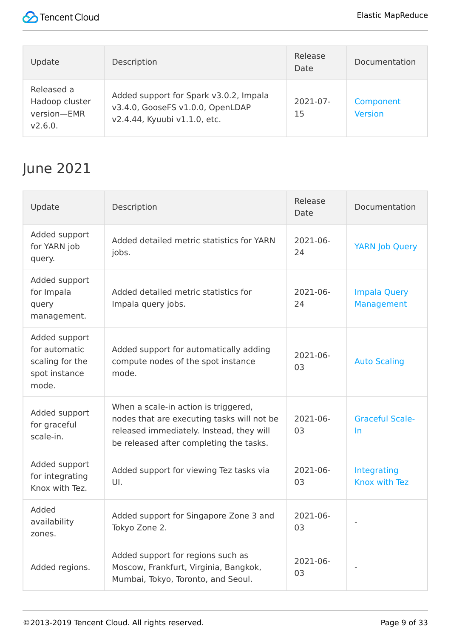

| Update                                                 | Description                                                                                                | Release<br>Date     | Documentation               |
|--------------------------------------------------------|------------------------------------------------------------------------------------------------------------|---------------------|-----------------------------|
| Released a<br>Hadoop cluster<br>version-EMR<br>V2.6.0. | Added support for Spark v3.0.2, Impala<br>v3.4.0, GooseFS v1.0.0, OpenLDAP<br>v2.4.44, Kyuubi v1.1.0, etc. | $2021 - 07 -$<br>15 | Component<br><b>Version</b> |

## June 2021

| Update                                                                      | Description                                                                                                                                                               | Release<br>Date     | Documentation                       |
|-----------------------------------------------------------------------------|---------------------------------------------------------------------------------------------------------------------------------------------------------------------------|---------------------|-------------------------------------|
| Added support<br>for YARN job<br>query.                                     | Added detailed metric statistics for YARN<br>jobs.                                                                                                                        | 2021-06-<br>24      | <b>YARN Job Query</b>               |
| Added support<br>for Impala<br>query<br>management.                         | Added detailed metric statistics for<br>Impala query jobs.                                                                                                                | $2021 - 06 -$<br>24 | <b>Impala Query</b><br>Management   |
| Added support<br>for automatic<br>scaling for the<br>spot instance<br>mode. | Added support for automatically adding<br>compute nodes of the spot instance<br>mode.                                                                                     | 2021-06-<br>03      | <b>Auto Scaling</b>                 |
| Added support<br>for graceful<br>scale-in.                                  | When a scale-in action is triggered,<br>nodes that are executing tasks will not be<br>released immediately. Instead, they will<br>be released after completing the tasks. | 2021-06-<br>03      | <b>Graceful Scale-</b><br>In        |
| Added support<br>for integrating<br>Knox with Tez.                          | Added support for viewing Tez tasks via<br>UI.                                                                                                                            | 2021-06-<br>03      | <b>Integrating</b><br>Knox with Tez |
| Added<br>availability<br>zones.                                             | Added support for Singapore Zone 3 and<br>Tokyo Zone 2.                                                                                                                   | 2021-06-<br>03      |                                     |
| Added regions.                                                              | Added support for regions such as<br>Moscow, Frankfurt, Virginia, Bangkok,<br>Mumbai, Tokyo, Toronto, and Seoul.                                                          | 2021-06-<br>03      |                                     |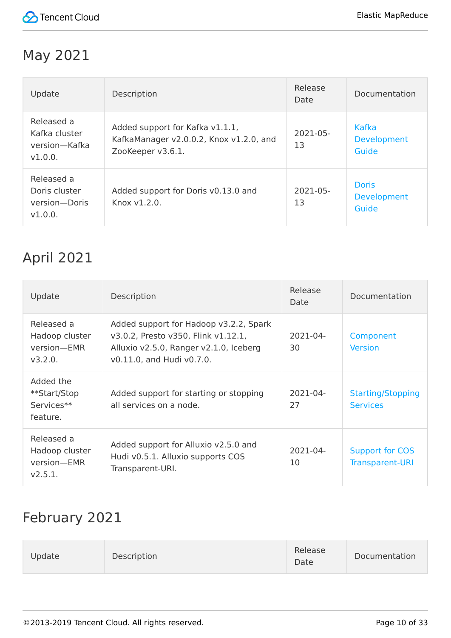

#### May 2021

| Update                                                  | Description                                                                                     | Release<br>Date     | Documentation                               |
|---------------------------------------------------------|-------------------------------------------------------------------------------------------------|---------------------|---------------------------------------------|
| Released a<br>Kafka cluster<br>version-Kafka<br>V1.0.0. | Added support for Kafka v1.1.1,<br>KafkaManager v2.0.0.2, Knox v1.2.0, and<br>ZooKeeper v3.6.1. | $2021 - 05 -$<br>13 | Kafka<br><b>Development</b><br>Guide        |
| Released a<br>Doris cluster<br>version-Doris<br>V1.0.0. | Added support for Doris v0.13.0 and<br>Knox v1.2.0.                                             | 2021-05-<br>13      | <b>Doris</b><br><b>Development</b><br>Guide |

#### April 2021

| Update                                                 | Description                                                                                                                                          | Release<br>Date     | Documentation                               |
|--------------------------------------------------------|------------------------------------------------------------------------------------------------------------------------------------------------------|---------------------|---------------------------------------------|
| Released a<br>Hadoop cluster<br>version-EMR<br>v3.2.0. | Added support for Hadoop v3.2.2, Spark<br>v3.0.2, Presto v350, Flink v1.12.1,<br>Alluxio v2.5.0, Ranger v2.1.0, Iceberg<br>v0.11.0, and Hudi v0.7.0. | $2021 - 04 -$<br>30 | Component<br><b>Version</b>                 |
| Added the<br>**Start/Stop<br>Services**<br>feature.    | Added support for starting or stopping<br>all services on a node.                                                                                    | 2021-04-<br>27      | <b>Starting/Stopping</b><br><b>Services</b> |
| Released a<br>Hadoop cluster<br>version-EMR<br>V2.5.1. | Added support for Alluxio v2.5.0 and<br>Hudi v0.5.1. Alluxio supports COS<br>Transparent-URI.                                                        | 2021-04-<br>10      | Support for COS<br><b>Transparent-URI</b>   |

#### February 2021

| Update | Description | Release<br>Date | Documentation |
|--------|-------------|-----------------|---------------|
|        |             |                 |               |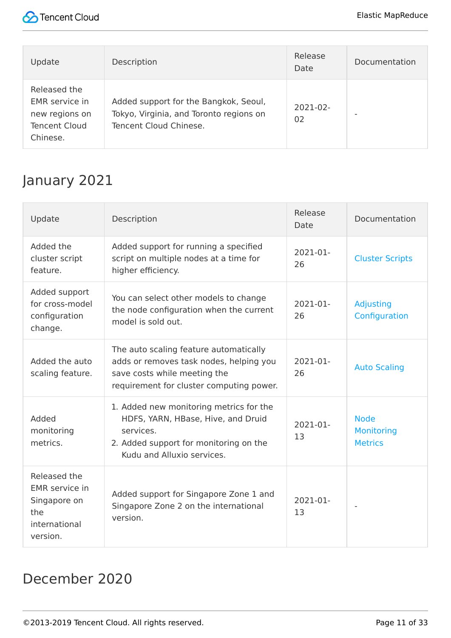

| Update                                                                               | Description                                                                                                | Release<br>Date | Documentation |
|--------------------------------------------------------------------------------------|------------------------------------------------------------------------------------------------------------|-----------------|---------------|
| Released the<br>EMR service in<br>new regions on<br><b>Tencent Cloud</b><br>Chinese. | Added support for the Bangkok, Seoul,<br>Tokyo, Virginia, and Toronto regions on<br>Tencent Cloud Chinese. | 2021-02-<br>02  |               |

#### January 2021

| Update                                                                                    | Description                                                                                                                                                        | Release<br>Date     | Documentation                               |
|-------------------------------------------------------------------------------------------|--------------------------------------------------------------------------------------------------------------------------------------------------------------------|---------------------|---------------------------------------------|
| Added the<br>cluster script<br>feature.                                                   | Added support for running a specified<br>script on multiple nodes at a time for<br>higher efficiency.                                                              | $2021 - 01 -$<br>26 | <b>Cluster Scripts</b>                      |
| Added support<br>for cross-model<br>configuration<br>change.                              | You can select other models to change<br>the node configuration when the current<br>model is sold out.                                                             | 2021-01-<br>26      | Adjusting<br>Configuration                  |
| Added the auto<br>scaling feature.                                                        | The auto scaling feature automatically<br>adds or removes task nodes, helping you<br>save costs while meeting the<br>requirement for cluster computing power.      | 2021-01-<br>26      | <b>Auto Scaling</b>                         |
| Added<br>monitoring<br>metrics.                                                           | 1. Added new monitoring metrics for the<br>HDFS, YARN, HBase, Hive, and Druid<br>services.<br>2. Added support for monitoring on the<br>Kudu and Alluxio services. | $2021 - 01 -$<br>13 | <b>Node</b><br>Monitoring<br><b>Metrics</b> |
| Released the<br><b>EMR</b> service in<br>Singapore on<br>the<br>international<br>version. | Added support for Singapore Zone 1 and<br>Singapore Zone 2 on the international<br>version.                                                                        | $2021 - 01 -$<br>13 |                                             |

#### December 2020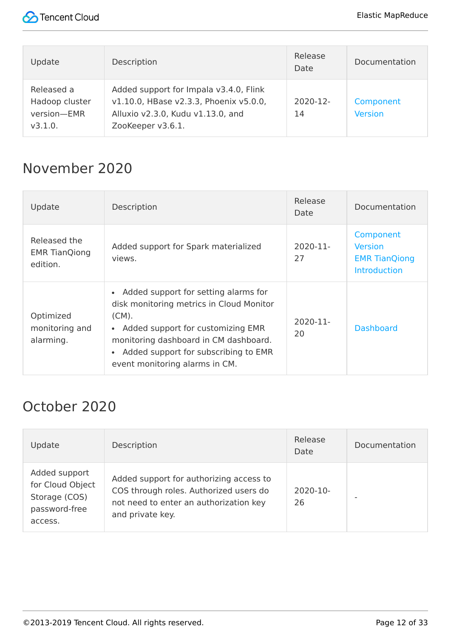

| Update                                                 | Description                                                                                                                                | Release<br><b>Date</b> | Documentation               |
|--------------------------------------------------------|--------------------------------------------------------------------------------------------------------------------------------------------|------------------------|-----------------------------|
| Released a<br>Hadoop cluster<br>version-EMR<br>V3.1.0. | Added support for Impala v3.4.0, Flink<br>v1.10.0, HBase v2.3.3, Phoenix v5.0.0,<br>Alluxio v2.3.0, Kudu v1.13.0, and<br>ZooKeeper v3.6.1. | $2020 - 12$<br>14      | Component<br><b>Version</b> |

#### November 2020

| Update                                           | Description                                                                                                                                                                                                                                                                                 | Release<br>Date   | Documentation                                                              |
|--------------------------------------------------|---------------------------------------------------------------------------------------------------------------------------------------------------------------------------------------------------------------------------------------------------------------------------------------------|-------------------|----------------------------------------------------------------------------|
| Released the<br><b>EMR TianQiong</b><br>edition. | Added support for Spark materialized<br>views.                                                                                                                                                                                                                                              | $2020 - 11$<br>27 | Component<br><b>Version</b><br><b>EMR TianQiong</b><br><b>Introduction</b> |
| Optimized<br>monitoring and<br>alarming.         | Added support for setting alarms for<br>$\bullet$<br>disk monitoring metrics in Cloud Monitor<br>$(CM)$ .<br>Added support for customizing EMR<br>$\bullet$<br>monitoring dashboard in CM dashboard.<br>Added support for subscribing to EMR<br>$\bullet$<br>event monitoring alarms in CM. | 2020-11-<br>20    | <b>Dashboard</b>                                                           |

#### October 2020

| Update                                                                         | Description                                                                                                                                     | Release<br>Date | Documentation |
|--------------------------------------------------------------------------------|-------------------------------------------------------------------------------------------------------------------------------------------------|-----------------|---------------|
| Added support<br>for Cloud Object<br>Storage (COS)<br>password-free<br>access. | Added support for authorizing access to<br>COS through roles. Authorized users do<br>not need to enter an authorization key<br>and private key. | 2020-10-<br>26  |               |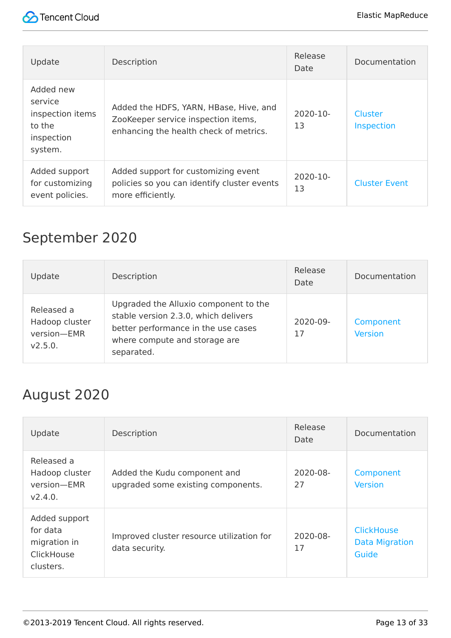

| Update                                                                      | Description                                                                                                             | Release<br>Date     | Documentation                |
|-----------------------------------------------------------------------------|-------------------------------------------------------------------------------------------------------------------------|---------------------|------------------------------|
| Added new<br>service<br>inspection items<br>to the<br>inspection<br>system. | Added the HDFS, YARN, HBase, Hive, and<br>ZooKeeper service inspection items,<br>enhancing the health check of metrics. | $2020 - 10 -$<br>13 | Cluster<br><b>Inspection</b> |
| Added support<br>for customizing<br>event policies.                         | Added support for customizing event<br>policies so you can identify cluster events<br>more efficiently.                 | $2020 - 10 -$<br>13 | <b>Cluster Event</b>         |

## September 2020

| Update                                                 | Description                                                                                                                                                         | Release<br>Date | Documentation               |
|--------------------------------------------------------|---------------------------------------------------------------------------------------------------------------------------------------------------------------------|-----------------|-----------------------------|
| Released a<br>Hadoop cluster<br>version-EMR<br>V2.5.0. | Upgraded the Alluxio component to the<br>stable version 2.3.0, which delivers<br>better performance in the use cases<br>where compute and storage are<br>separated. | 2020-09-<br>17  | Component<br><b>Version</b> |

#### August 2020

| Update                                                               | Description                                                        | Release<br>Date     | Documentation                                       |
|----------------------------------------------------------------------|--------------------------------------------------------------------|---------------------|-----------------------------------------------------|
| Released a<br>Hadoop cluster<br>version-EMR<br>V2.4.0.               | Added the Kudu component and<br>upgraded some existing components. | $2020 - 08 -$<br>27 | Component<br><b>Version</b>                         |
| Added support<br>for data<br>migration in<br>ClickHouse<br>clusters. | Improved cluster resource utilization for<br>data security.        | 2020-08-<br>17      | <b>ClickHouse</b><br><b>Data Migration</b><br>Guide |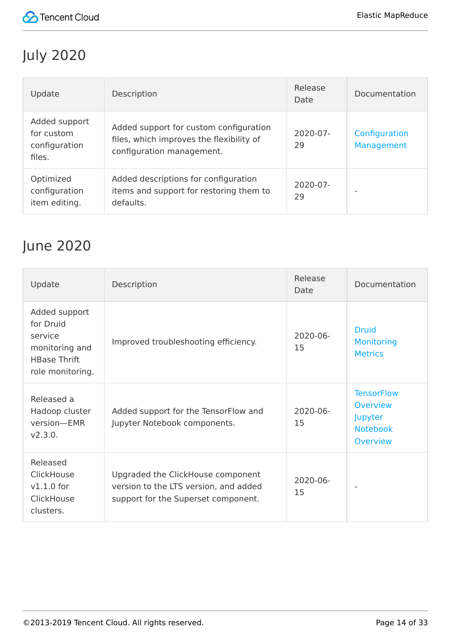

# July 2020

| Update                                                 | Description                                                                                                     | Release<br>Date     | Documentation               |
|--------------------------------------------------------|-----------------------------------------------------------------------------------------------------------------|---------------------|-----------------------------|
| Added support<br>for custom<br>configuration<br>files. | Added support for custom configuration<br>files, which improves the flexibility of<br>configuration management. | $2020 - 07 -$<br>29 | Configuration<br>Management |
| Optimized<br>configuration<br>item editing.            | Added descriptions for configuration<br>items and support for restoring them to<br>defaults.                    | $2020 - 07 -$<br>29 |                             |

#### June 2020

| Update                                                                                             | Description                                                                                                       | Release<br>Date     | Documentation                                                           |
|----------------------------------------------------------------------------------------------------|-------------------------------------------------------------------------------------------------------------------|---------------------|-------------------------------------------------------------------------|
| Added support<br>for Druid<br>service<br>monitoring and<br><b>HBase Thrift</b><br>role monitoring. | Improved troubleshooting efficiency.                                                                              | $2020 - 06 -$<br>15 | <b>Druid</b><br><b>Monitoring</b><br><b>Metrics</b>                     |
| Released a<br>Hadoop cluster<br>version-EMR<br>V2.3.0.                                             | Added support for the TensorFlow and<br>Jupyter Notebook components.                                              | 2020-06-<br>15      | <b>TensorFlow</b><br>Overview<br>Jupyter<br><b>Notebook</b><br>Overview |
| Released<br>ClickHouse<br>$v1.1.0$ for<br>ClickHouse<br>clusters.                                  | Upgraded the ClickHouse component<br>version to the LTS version, and added<br>support for the Superset component. | $2020 - 06 -$<br>15 |                                                                         |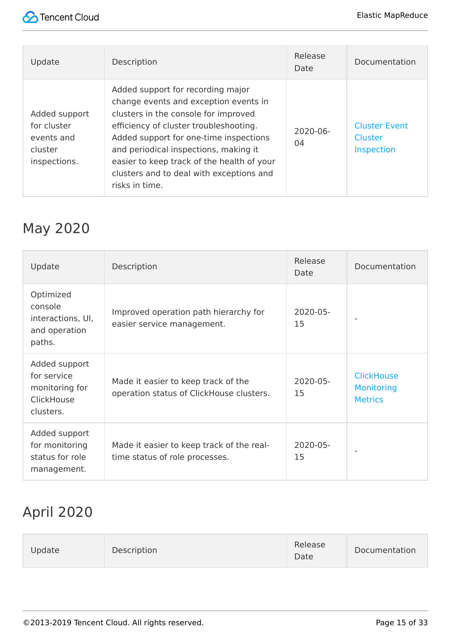

| Update                                                                | Description                                                                                                                                                                                                                                                                                                                                                 | Release<br>Date     | Documentation                                 |
|-----------------------------------------------------------------------|-------------------------------------------------------------------------------------------------------------------------------------------------------------------------------------------------------------------------------------------------------------------------------------------------------------------------------------------------------------|---------------------|-----------------------------------------------|
| Added support<br>for cluster<br>events and<br>cluster<br>inspections. | Added support for recording major<br>change events and exception events in<br>clusters in the console for improved<br>efficiency of cluster troubleshooting.<br>Added support for one-time inspections<br>and periodical inspections, making it<br>easier to keep track of the health of your<br>clusters and to deal with exceptions and<br>risks in time. | $2020 - 06 -$<br>04 | <b>Cluster Event</b><br>Cluster<br>Inspection |

#### May 2020

| Update                                                                    | Description                                                                     | Release<br>Date | Documentation                                            |
|---------------------------------------------------------------------------|---------------------------------------------------------------------------------|-----------------|----------------------------------------------------------|
| Optimized<br>console<br>interactions, UI,<br>and operation<br>paths.      | Improved operation path hierarchy for<br>easier service management.             | 2020-05-<br>15  |                                                          |
| Added support<br>for service<br>monitoring for<br>ClickHouse<br>clusters. | Made it easier to keep track of the<br>operation status of ClickHouse clusters. | 2020-05-<br>15  | <b>ClickHouse</b><br><b>Monitoring</b><br><b>Metrics</b> |
| Added support<br>for monitoring<br>status for role<br>management.         | Made it easier to keep track of the real-<br>time status of role processes.     | 2020-05-<br>15  |                                                          |

# April 2020

| Update | Description | Release<br>Date | Documentation |
|--------|-------------|-----------------|---------------|
|--------|-------------|-----------------|---------------|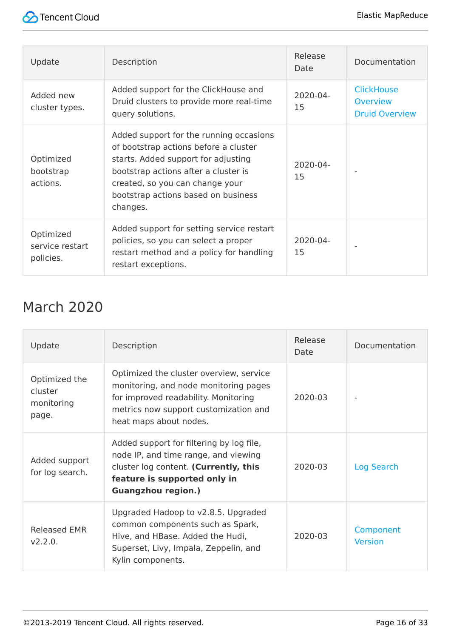

| Update                                    | Description                                                                                                                                                                                                                                           | Release<br>Date | Documentation                                                 |
|-------------------------------------------|-------------------------------------------------------------------------------------------------------------------------------------------------------------------------------------------------------------------------------------------------------|-----------------|---------------------------------------------------------------|
| Added new<br>cluster types.               | Added support for the ClickHouse and<br>Druid clusters to provide more real-time<br>query solutions.                                                                                                                                                  | 2020-04-<br>15  | <b>ClickHouse</b><br><b>Overview</b><br><b>Druid Overview</b> |
| Optimized<br>bootstrap<br>actions.        | Added support for the running occasions<br>of bootstrap actions before a cluster<br>starts. Added support for adjusting<br>bootstrap actions after a cluster is<br>created, so you can change your<br>bootstrap actions based on business<br>changes. | 2020-04-<br>15  |                                                               |
| Optimized<br>service restart<br>policies. | Added support for setting service restart<br>policies, so you can select a proper<br>restart method and a policy for handling<br>restart exceptions.                                                                                                  | 2020-04-<br>15  |                                                               |

#### March 2020

| Update                                          | Description                                                                                                                                                                                 | Release<br>Date | Documentation               |
|-------------------------------------------------|---------------------------------------------------------------------------------------------------------------------------------------------------------------------------------------------|-----------------|-----------------------------|
| Optimized the<br>cluster<br>monitoring<br>page. | Optimized the cluster overview, service<br>monitoring, and node monitoring pages<br>for improved readability. Monitoring<br>metrics now support customization and<br>heat maps about nodes. | 2020-03         |                             |
| Added support<br>for log search.                | Added support for filtering by log file,<br>node IP, and time range, and viewing<br>cluster log content. (Currently, this<br>feature is supported only in<br><b>Guangzhou region.)</b>      | 2020-03         | Log Search                  |
| <b>Released EMR</b><br>V2.2.0.                  | Upgraded Hadoop to v2.8.5. Upgraded<br>common components such as Spark,<br>Hive, and HBase. Added the Hudi,<br>Superset, Livy, Impala, Zeppelin, and<br>Kylin components.                   | 2020-03         | Component<br><b>Version</b> |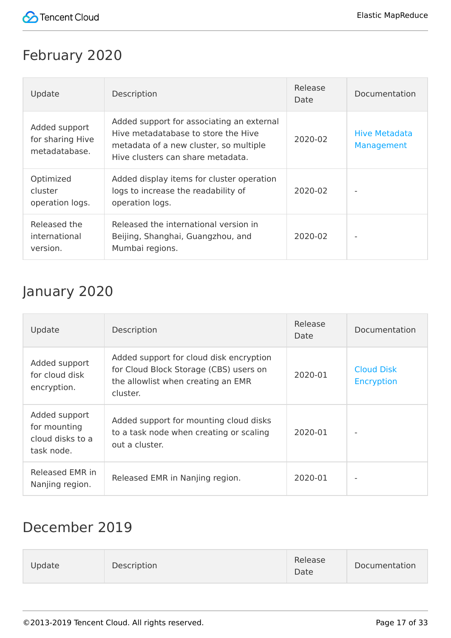

#### February 2020

| Update                                             | Description                                                                                                                                                     | Release<br>Date | Documentation                      |
|----------------------------------------------------|-----------------------------------------------------------------------------------------------------------------------------------------------------------------|-----------------|------------------------------------|
| Added support<br>for sharing Hive<br>metadatabase. | Added support for associating an external<br>Hive metadatabase to store the Hive<br>metadata of a new cluster, so multiple<br>Hive clusters can share metadata. | 2020-02         | <b>Hive Metadata</b><br>Management |
| Optimized<br>cluster<br>operation logs.            | Added display items for cluster operation<br>logs to increase the readability of<br>operation logs.                                                             | 2020-02         |                                    |
| Released the<br>international<br>version.          | Released the international version in<br>Beijing, Shanghai, Guangzhou, and<br>Mumbai regions.                                                                   | 2020-02         |                                    |

#### January 2020

| Update                                                          | Description                                                                                                                         | Release<br>Date | Documentation                          |
|-----------------------------------------------------------------|-------------------------------------------------------------------------------------------------------------------------------------|-----------------|----------------------------------------|
| Added support<br>for cloud disk<br>encryption.                  | Added support for cloud disk encryption<br>for Cloud Block Storage (CBS) users on<br>the allowlist when creating an EMR<br>cluster. | 2020-01         | <b>Cloud Disk</b><br><b>Encryption</b> |
| Added support<br>for mounting<br>cloud disks to a<br>task node. | Added support for mounting cloud disks<br>to a task node when creating or scaling<br>out a cluster.                                 | 2020-01         |                                        |
| Released EMR in<br>Nanjing region.                              | Released EMR in Nanjing region.                                                                                                     | 2020-01         |                                        |

#### December 2019

| Update | Description |  | Release<br>Date | Documentation |
|--------|-------------|--|-----------------|---------------|
|--------|-------------|--|-----------------|---------------|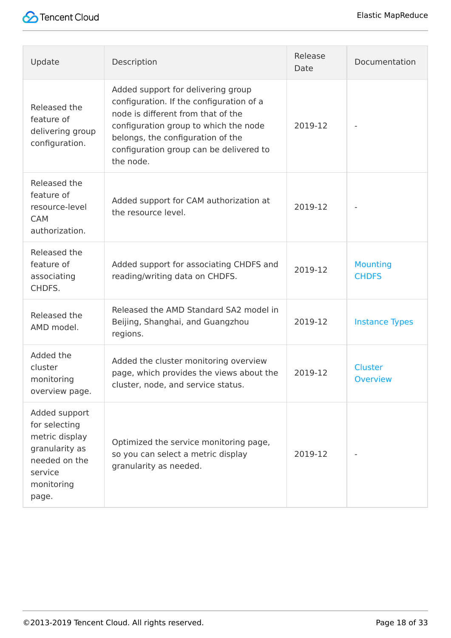

| Update                                                                                                                | Description                                                                                                                                                                                                                                                | Release<br>Date | Documentation                     |
|-----------------------------------------------------------------------------------------------------------------------|------------------------------------------------------------------------------------------------------------------------------------------------------------------------------------------------------------------------------------------------------------|-----------------|-----------------------------------|
| Released the<br>feature of<br>delivering group<br>configuration.                                                      | Added support for delivering group<br>configuration. If the configuration of a<br>node is different from that of the<br>configuration group to which the node<br>belongs, the configuration of the<br>configuration group can be delivered to<br>the node. | 2019-12         |                                   |
| Released the<br>feature of<br>resource-level<br><b>CAM</b><br>authorization.                                          | Added support for CAM authorization at<br>the resource level.                                                                                                                                                                                              | 2019-12         |                                   |
| Released the<br>feature of<br>associating<br>CHDFS.                                                                   | Added support for associating CHDFS and<br>reading/writing data on CHDFS.                                                                                                                                                                                  | 2019-12         | <b>Mounting</b><br><b>CHDFS</b>   |
| Released the<br>AMD model.                                                                                            | Released the AMD Standard SA2 model in<br>Beijing, Shanghai, and Guangzhou<br>regions.                                                                                                                                                                     | 2019-12         | <b>Instance Types</b>             |
| Added the<br>cluster<br>monitoring<br>overview page.                                                                  | Added the cluster monitoring overview<br>page, which provides the views about the<br>cluster, node, and service status.                                                                                                                                    | 2019-12         | <b>Cluster</b><br><b>Overview</b> |
| Added support<br>for selecting<br>metric display<br>granularity as<br>needed on the<br>service<br>monitoring<br>page. | Optimized the service monitoring page,<br>so you can select a metric display<br>granularity as needed.                                                                                                                                                     | 2019-12         |                                   |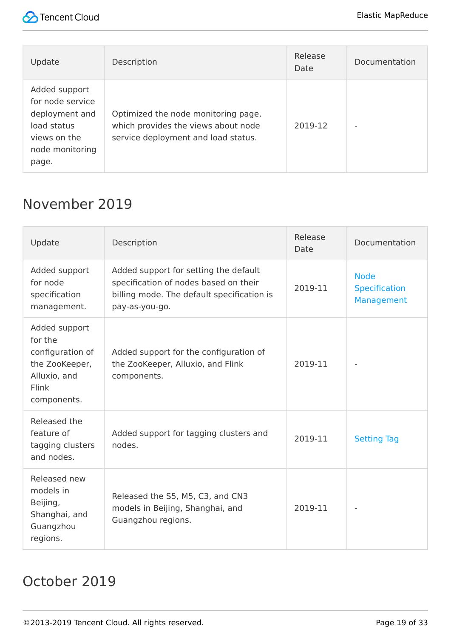

| Update                                                                                                         | Description                                                                                                       | Release<br>Date | Documentation |
|----------------------------------------------------------------------------------------------------------------|-------------------------------------------------------------------------------------------------------------------|-----------------|---------------|
| Added support<br>for node service<br>deployment and<br>load status<br>views on the<br>node monitoring<br>page. | Optimized the node monitoring page,<br>which provides the views about node<br>service deployment and load status. | 2019-12         | ۰             |

#### November 2019

| Update                                                                                                 | Description                                                                                                                                    | Release<br>Date | Documentation                                     |
|--------------------------------------------------------------------------------------------------------|------------------------------------------------------------------------------------------------------------------------------------------------|-----------------|---------------------------------------------------|
| Added support<br>for node<br>specification<br>management.                                              | Added support for setting the default<br>specification of nodes based on their<br>billing mode. The default specification is<br>pay-as-you-go. | 2019-11         | <b>Node</b><br><b>Specification</b><br>Management |
| Added support<br>for the<br>configuration of<br>the ZooKeeper,<br>Alluxio, and<br>Flink<br>components. | Added support for the configuration of<br>the ZooKeeper, Alluxio, and Flink<br>components.                                                     | 2019-11         |                                                   |
| Released the<br>feature of<br>tagging clusters<br>and nodes.                                           | Added support for tagging clusters and<br>nodes.                                                                                               | 2019-11         | <b>Setting Tag</b>                                |
| Released new<br>models in<br>Beijing,<br>Shanghai, and<br>Guangzhou<br>regions.                        | Released the S5, M5, C3, and CN3<br>models in Beijing, Shanghai, and<br>Guangzhou regions.                                                     | 2019-11         |                                                   |

#### October 2019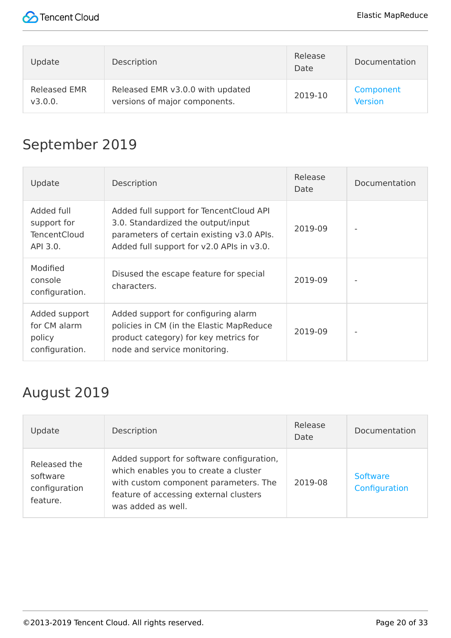

| Update       | Description                      | Release<br>Date | Documentation  |
|--------------|----------------------------------|-----------------|----------------|
| Released EMR | Released EMR v3.0.0 with updated | 2019-10         | Component      |
| v3.0.0.      | versions of major components.    |                 | <b>Version</b> |

#### September 2019

| Update                                                       | Description                                                                                                                                                             | Release<br>Date | Documentation |
|--------------------------------------------------------------|-------------------------------------------------------------------------------------------------------------------------------------------------------------------------|-----------------|---------------|
| Added full<br>support for<br><b>TencentCloud</b><br>API 3.0. | Added full support for TencentCloud API<br>3.0. Standardized the output/input<br>parameters of certain existing v3.0 APIs.<br>Added full support for v2.0 APIs in v3.0. | 2019-09         |               |
| Modified<br>console<br>configuration.                        | Disused the escape feature for special<br>characters.                                                                                                                   | 2019-09         |               |
| Added support<br>for CM alarm<br>policy<br>configuration.    | Added support for configuring alarm<br>policies in CM (in the Elastic MapReduce<br>product category) for key metrics for<br>node and service monitoring.                | 2019-09         |               |

#### August 2019

| Update                                                | Description                                                                                                                                                                                 | Release<br>Date | Documentation                    |
|-------------------------------------------------------|---------------------------------------------------------------------------------------------------------------------------------------------------------------------------------------------|-----------------|----------------------------------|
| Released the<br>software<br>configuration<br>feature. | Added support for software configuration,<br>which enables you to create a cluster<br>with custom component parameters. The<br>feature of accessing external clusters<br>was added as well. | 2019-08         | <b>Software</b><br>Configuration |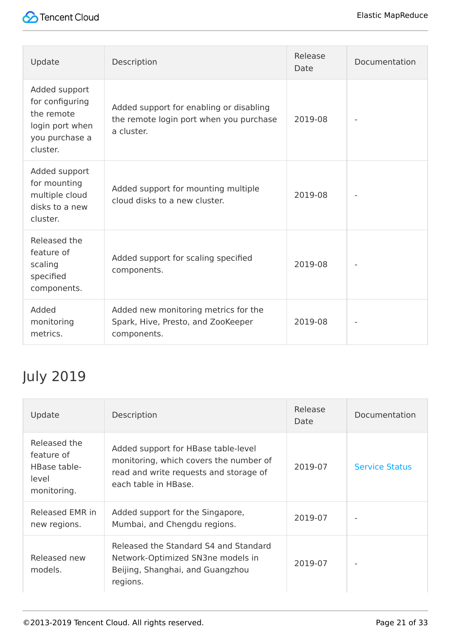

| Update                                                                                          | Description                                                                                      | Release<br>Date | Documentation |
|-------------------------------------------------------------------------------------------------|--------------------------------------------------------------------------------------------------|-----------------|---------------|
| Added support<br>for configuring<br>the remote<br>login port when<br>you purchase a<br>cluster. | Added support for enabling or disabling<br>the remote login port when you purchase<br>a cluster. | 2019-08         |               |
| Added support<br>for mounting<br>multiple cloud<br>disks to a new<br>cluster.                   | Added support for mounting multiple<br>cloud disks to a new cluster.                             | 2019-08         |               |
| Released the<br>feature of<br>scaling<br>specified<br>components.                               | Added support for scaling specified<br>components.                                               | 2019-08         |               |
| Added<br>monitoring<br>metrics.                                                                 | Added new monitoring metrics for the<br>Spark, Hive, Presto, and ZooKeeper<br>components.        | 2019-08         |               |

# July 2019

| Update                                                             | Description                                                                                                                                     | Release<br>Date | Documentation         |
|--------------------------------------------------------------------|-------------------------------------------------------------------------------------------------------------------------------------------------|-----------------|-----------------------|
| Released the<br>feature of<br>HBase table-<br>level<br>monitoring. | Added support for HBase table-level<br>monitoring, which covers the number of<br>read and write requests and storage of<br>each table in HBase. | 2019-07         | <b>Service Status</b> |
| Released EMR in<br>new regions.                                    | Added support for the Singapore,<br>Mumbai, and Chengdu regions.                                                                                | 2019-07         |                       |
| Released new<br>models.                                            | Released the Standard S4 and Standard<br>Network-Optimized SN3ne models in<br>Beijing, Shanghai, and Guangzhou<br>regions.                      | 2019-07         |                       |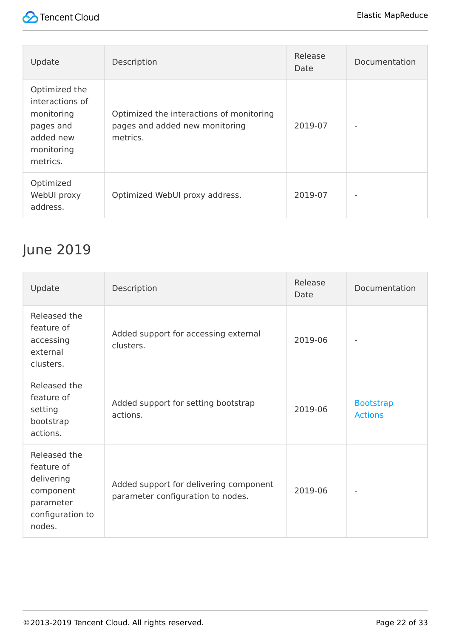



| Update                                                                                             | Description                                                                            | Release<br>Date | Documentation |
|----------------------------------------------------------------------------------------------------|----------------------------------------------------------------------------------------|-----------------|---------------|
| Optimized the<br>interactions of<br>monitoring<br>pages and<br>added new<br>monitoring<br>metrics. | Optimized the interactions of monitoring<br>pages and added new monitoring<br>metrics. | 2019-07         |               |
| Optimized<br>WebUI proxy<br>address.                                                               | Optimized WebUI proxy address.                                                         | 2019-07         |               |

#### June 2019

| Update                                                                                           | Description                                                                 | Release<br>Date | Documentation                      |
|--------------------------------------------------------------------------------------------------|-----------------------------------------------------------------------------|-----------------|------------------------------------|
| Released the<br>feature of<br>accessing<br>external<br>clusters.                                 | Added support for accessing external<br>clusters.                           | 2019-06         |                                    |
| Released the<br>feature of<br>setting<br>bootstrap<br>actions.                                   | Added support for setting bootstrap<br>actions.                             | 2019-06         | <b>Bootstrap</b><br><b>Actions</b> |
| Released the<br>feature of<br>delivering<br>component<br>parameter<br>configuration to<br>nodes. | Added support for delivering component<br>parameter configuration to nodes. | 2019-06         |                                    |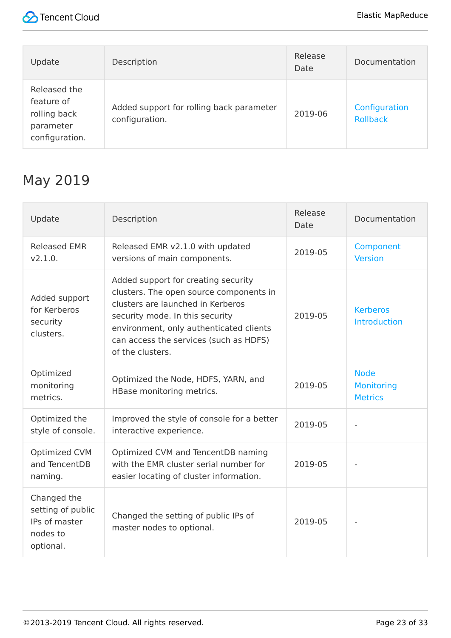

| Update                                                                    | Description                                                | Release<br>Date | Documentation                    |
|---------------------------------------------------------------------------|------------------------------------------------------------|-----------------|----------------------------------|
| Released the<br>feature of<br>rolling back<br>parameter<br>configuration. | Added support for rolling back parameter<br>configuration. | 2019-06         | Configuration<br><b>Rollback</b> |

#### May 2019

| Update                                                                     | Description                                                                                                                                                                                                                                                     | Release<br>Date | Documentation                                      |
|----------------------------------------------------------------------------|-----------------------------------------------------------------------------------------------------------------------------------------------------------------------------------------------------------------------------------------------------------------|-----------------|----------------------------------------------------|
| <b>Released EMR</b><br>V2.1.0.                                             | Released EMR v2.1.0 with updated<br>versions of main components.                                                                                                                                                                                                | 2019-05         | Component<br><b>Version</b>                        |
| Added support<br>for Kerberos<br>security<br>clusters.                     | Added support for creating security<br>clusters. The open source components in<br>clusters are launched in Kerberos<br>security mode. In this security<br>environment, only authenticated clients<br>can access the services (such as HDFS)<br>of the clusters. | 2019-05         | <b>Kerberos</b><br><b>Introduction</b>             |
| Optimized<br>monitoring<br>metrics.                                        | Optimized the Node, HDFS, YARN, and<br>HBase monitoring metrics.                                                                                                                                                                                                | 2019-05         | <b>Node</b><br><b>Monitoring</b><br><b>Metrics</b> |
| Optimized the<br>style of console.                                         | Improved the style of console for a better<br>interactive experience.                                                                                                                                                                                           | 2019-05         |                                                    |
| Optimized CVM<br>and TencentDB<br>naming.                                  | Optimized CVM and TencentDB naming<br>with the EMR cluster serial number for<br>easier locating of cluster information.                                                                                                                                         | 2019-05         |                                                    |
| Changed the<br>setting of public<br>IPs of master<br>nodes to<br>optional. | Changed the setting of public IPs of<br>master nodes to optional.                                                                                                                                                                                               | 2019-05         |                                                    |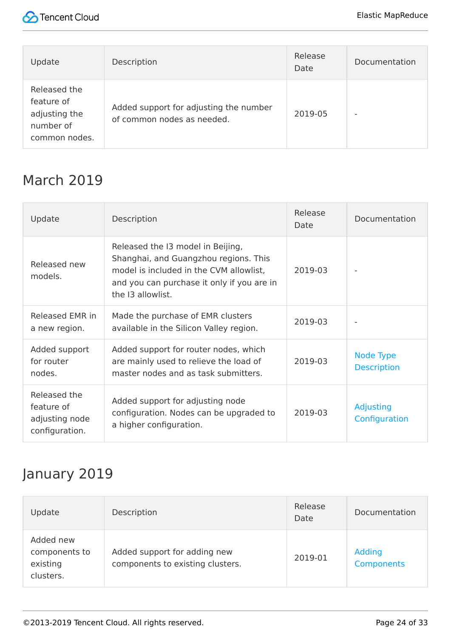

| Update                                                                    | Description                                                          | Release<br>Date | Documentation |
|---------------------------------------------------------------------------|----------------------------------------------------------------------|-----------------|---------------|
| Released the<br>feature of<br>adjusting the<br>number of<br>common nodes. | Added support for adjusting the number<br>of common nodes as needed. | 2019-05         |               |

#### March 2019

| Update                                                         | Description                                                                                                                                                                              | Release<br>Date | Documentation                   |
|----------------------------------------------------------------|------------------------------------------------------------------------------------------------------------------------------------------------------------------------------------------|-----------------|---------------------------------|
| Released new<br>models.                                        | Released the I3 model in Beijing,<br>Shanghai, and Guangzhou regions. This<br>model is included in the CVM allowlist,<br>and you can purchase it only if you are in<br>the 13 allowlist. | 2019-03         |                                 |
| Released EMR in<br>a new region.                               | Made the purchase of EMR clusters<br>available in the Silicon Valley region.                                                                                                             | 2019-03         |                                 |
| Added support<br>for router<br>nodes.                          | Added support for router nodes, which<br>are mainly used to relieve the load of<br>master nodes and as task submitters.                                                                  | 2019-03         | Node Type<br><b>Description</b> |
| Released the<br>feature of<br>adjusting node<br>configuration. | Added support for adjusting node<br>configuration. Nodes can be upgraded to<br>a higher configuration.                                                                                   | 2019-03         | Adjusting<br>Configuration      |

#### January 2019

| Update                                              | Description                                                      | Release<br>Date | Documentation                      |
|-----------------------------------------------------|------------------------------------------------------------------|-----------------|------------------------------------|
| Added new<br>components to<br>existing<br>clusters. | Added support for adding new<br>components to existing clusters. | 2019-01         | <b>Adding</b><br><b>Components</b> |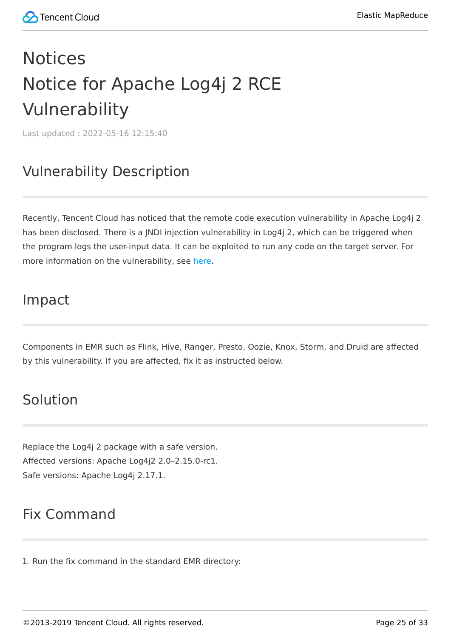# <span id="page-24-1"></span><span id="page-24-0"></span>Notices Notice for Apache Log4j 2 RCE Vulnerability

Last updated:2022-05-16 12:15:40

#### Vulnerability Description

Recently, Tencent Cloud has noticed that the remote code execution vulnerability in Apache Log4j 2 has been disclosed. There is a JNDI injection vulnerability in Log4j 2, which can be triggered when the program logs the user-input data. It can be exploited to run any code on the target server. For more information on the vulnerability, see [here](https://s.tencent.com/research/report/144).

#### Impact

Components in EMR such as Flink, Hive, Ranger, Presto, Oozie, Knox, Storm, and Druid are affected by this vulnerability. If you are affected, fix it as instructed below.

#### Solution

Replace the Log4j 2 package with a safe version. Affected versions: Apache Log4j2 2.0–2.15.0-rc1. Safe versions: Apache Log4j 2.17.1.

#### Fix Command

1. Run the fix command in the standard EMR directory: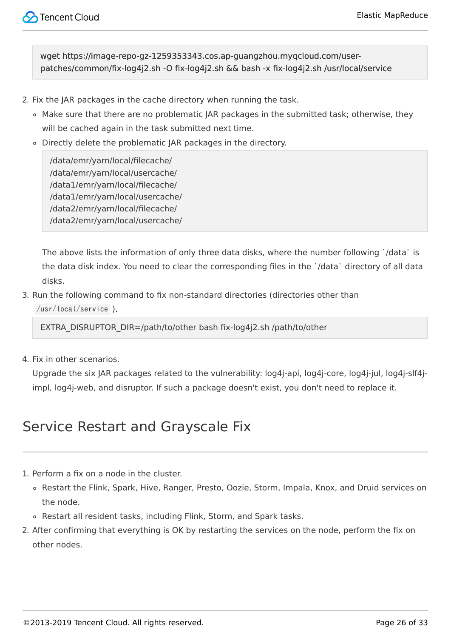wget https://image-repo-gz-1259353343.cos.ap-guangzhou.myqcloud.com/userpatches/common/fix-log4j2.sh -O fix-log4j2.sh && bash -x fix-log4j2.sh /usr/local/service

- 2. Fix the JAR packages in the cache directory when running the task.
	- Make sure that there are no problematic JAR packages in the submitted task; otherwise, they will be cached again in the task submitted next time.
	- Directly delete the problematic JAR packages in the directory.

/data/emr/yarn/local/filecache/ /data/emr/yarn/local/usercache/ /data1/emr/yarn/local/filecache/ /data1/emr/yarn/local/usercache/ /data2/emr/yarn/local/filecache/ /data2/emr/yarn/local/usercache/

The above lists the information of only three data disks, where the number following `/data` is the data disk index. You need to clear the corresponding files in the `/data` directory of all data disks.

3. Run the following command to fix non-standard directories (directories other than /usr/local/service ).

EXTRA\_DISRUPTOR\_DIR=/path/to/other bash fix-log4j2.sh /path/to/other

4. Fix in other scenarios.

Upgrade the six JAR packages related to the vulnerability: log4j-api, log4j-core, log4j-jul, log4j-slf4jimpl, log4j-web, and disruptor. If such a package doesn't exist, you don't need to replace it.

#### Service Restart and Grayscale Fix

- 1. Perform a fix on a node in the cluster.
	- Restart the Flink, Spark, Hive, Ranger, Presto, Oozie, Storm, Impala, Knox, and Druid services on the node.
	- Restart all resident tasks, including Flink, Storm, and Spark tasks.
- 2. After confirming that everything is OK by restarting the services on the node, perform the fix on other nodes.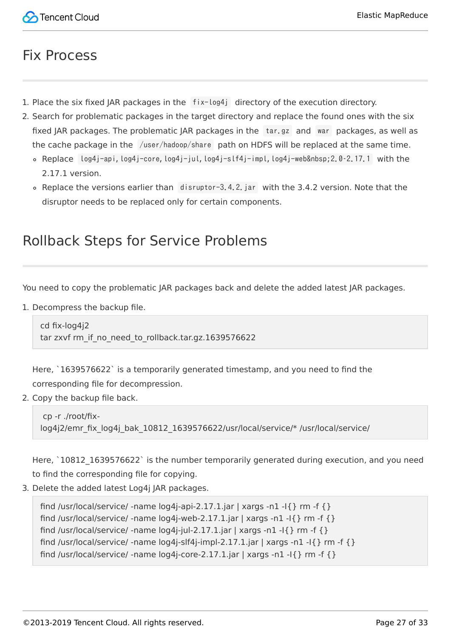#### Fix Process

- 1. Place the six fixed JAR packages in the fix-log4j directory of the execution directory.
- 2. Search for problematic packages in the target directory and replace the found ones with the six fixed JAR packages. The problematic JAR packages in the tar.gz and war packages, as well as the cache package in the /user/hadoop/share path on HDFS will be replaced at the same time.
	- $\circ$  Replace  $log4$ j-api,  $log4$ j-core,  $log4$ j-jul,  $log4$ j-slf4j-impl,  $log4$ j-web 2.0-2.17.1 with the 2.17.1 version.
	- Replace the versions earlier than disruptor-3.4.2.jar with the 3.4.2 version. Note that the disruptor needs to be replaced only for certain components.

#### Rollback Steps for Service Problems

You need to copy the problematic JAR packages back and delete the added latest JAR packages.

1. Decompress the backup file.

cd fix-log4j2 tar zxvf rm\_if\_no\_need\_to\_rollback.tar.gz.1639576622

Here, `1639576622` is a temporarily generated timestamp, and you need to find the corresponding file for decompression.

2. Copy the backup file back.

```
 cp -r ./root/fix-
log4j2/emr fix log4j bak 10812 1639576622/usr/local/service/* /usr/local/service/
```
Here, `10812 1639576622` is the number temporarily generated during execution, and you need to find the corresponding file for copying.

3. Delete the added latest Log4j JAR packages.

find /usr/local/service/ -name log4j-api-2.17.1.jar | xargs -n1 -l{ } rm -f { } find /usr/local/service/ -name  $log4$ j-web-2.17.1.jar | xargs -n1 -l{ } rm -f { } find /usr/local/service/ -name  $log4$ j-jul-2.17.1.jar | xargs -n1 -l{} rm -f {} find /usr/local/service/ -name  $log4$ j-slf4j-impl-2.17.1.jar | xargs -n1 -l{} rm -f {} find /usr/local/service/ -name  $log4$ j-core-2.17.1.jar | xargs -n1 -l{ } rm -f { }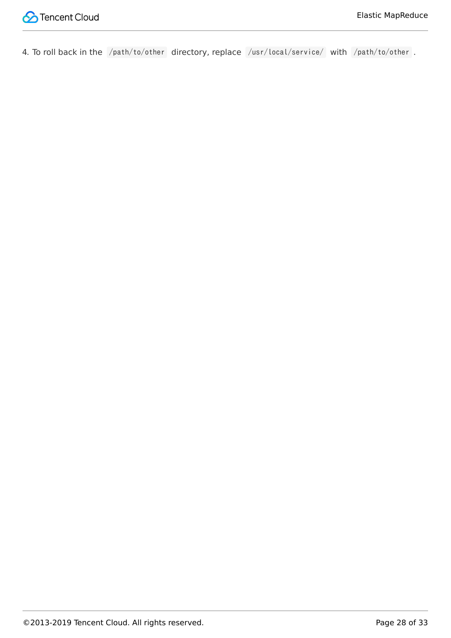

4. To roll back in the /path/to/other directory, replace /usr/local/service/ with /path/to/other .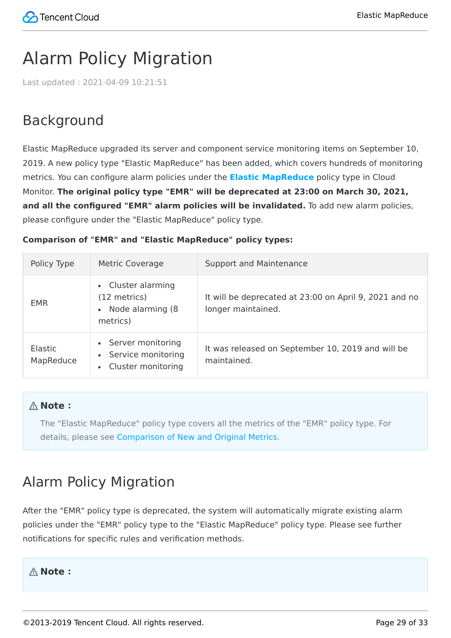# <span id="page-28-0"></span>Alarm Policy Migration

Last updated:2021-04-09 10:21:51

### Background

Elastic MapReduce upgraded its server and component service monitoring items on September 10, 2019. A new policy type "Elastic MapReduce" has been added, which covers hundreds of monitoring metrics. You can configure alarm policies under the **[Elastic MapReduce](https://intl.cloud.tencent.com/document/product/248/36845)** policy type in Cloud Monitor. **The original policy type "EMR" will be deprecated at 23:00 on March 30, 2021,** and all the configured "EMR" alarm policies will be invalidated. To add new alarm policies, please configure under the "Elastic MapReduce" policy type.

#### **Comparison of "EMR" and "Elastic MapReduce" policy types:**

| Policy Type                 | Metric Coverage                                                               | Support and Maintenance                                                      |
|-----------------------------|-------------------------------------------------------------------------------|------------------------------------------------------------------------------|
| <b>EMR</b>                  | Cluster alarming<br>$\bullet$<br>(12 metrics)<br>Node alarming (8<br>metrics) | It will be deprecated at 23:00 on April 9, 2021 and no<br>longer maintained. |
| <b>Elastic</b><br>MapReduce | • Server monitoring<br>Service monitoring<br>Cluster monitoring               | It was released on September 10, 2019 and will be<br>maintained.             |

#### **Note**:

The "Elastic MapReduce" policy type covers all the metrics of the "EMR" policy type. For details, please see [Comparison of New and Original Metrics](#page-29-0).

#### Alarm Policy Migration

After the "EMR" policy type is deprecated, the system will automatically migrate existing alarm policies under the "EMR" policy type to the "Elastic MapReduce" policy type. Please see further notifications for specific rules and verification methods.

#### **Note**: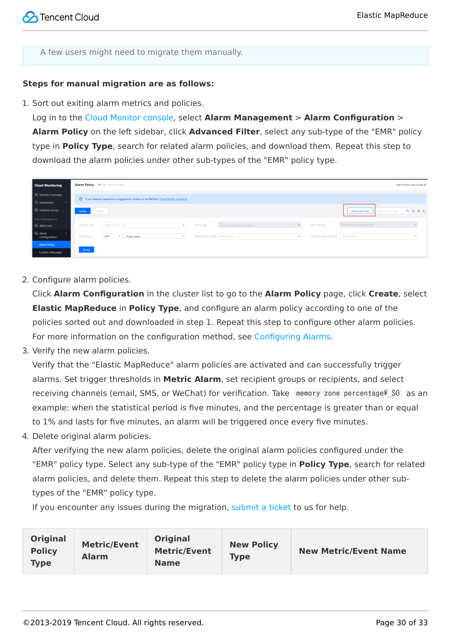A few users might need to migrate them manually.

#### **Steps for manual migration are as follows:**

1. Sort out exiting alarm metrics and policies.

Log in to the [Cloud Monitor console,](https://console.cloud.tencent.com/monitor/overview) select **Alarm Management** > **Alarm Configuration** > **Alarm Policy** on the left sidebar, click **Advanced Filter**, select any sub-type of the "EMR" policy type in **Policy Type**, search for related alarm policies, and download them. Repeat this step to download the alarm policies under other sub-types of the "EMR" policy type.

| <b>Cloud Monitoring</b>                           | Alarm Policy @ New Version Guide |                                                                                               |                                                       |                                |                                                        |                                              | Alarm Policy User Guide [2] |
|---------------------------------------------------|----------------------------------|-----------------------------------------------------------------------------------------------|-------------------------------------------------------|--------------------------------|--------------------------------------------------------|----------------------------------------------|-----------------------------|
| <b>Ell</b> Monitor Overview<br><b>B</b> Dashboard |                                  | 1. If you have any questions or suggestions, contact us via WeChat (Cloud Monitor Assistant). |                                                       |                                |                                                        |                                              |                             |
| <b>吕 Instance Group</b>                           | Create<br>Delete                 |                                                                                               |                                                       |                                |                                                        | <b>Advanced Filter</b><br>Enter a policy nam | $Q$ $\phi$ $\phi$ $\pm$     |
| Alarm Management<br>Alarm List                    | Monitor Type                     | Select monitor type                                                                           | Policy Type<br>$\mathbf{v}$                           | Select a monitoring type first | Alarm Object                                           | Select a monitoring type first               |                             |
| <b>&amp;</b> Alarm<br>Configuration               | User Group                       | User<br>Please select                                                                         | Default Policy Filter   Please select<br>$\mathbf{v}$ |                                | Detection Type Filtering Please select<br>$\mathbf{v}$ |                                              | $\mathbf{v}$                |
| <b>Alarm Policy</b><br><b>Custom Messages</b>     | Query                            |                                                                                               |                                                       |                                |                                                        |                                              |                             |

2. Configure alarm policies.

Click **Alarm Configuration** in the cluster list to go to the **Alarm Policy** page, click **Create**, select **Elastic MapReduce** in **Policy Type**, and configure an alarm policy according to one of the policies sorted out and downloaded in step 1. Repeat this step to configure other alarm policies. For more information on the configuration method, see [Configuring Alarms.](https://intl.cloud.tencent.com/document/product/1026/31120)

3. Verify the new alarm policies.

Verify that the "Elastic MapReduce" alarm policies are activated and can successfully trigger alarms. Set trigger thresholds in **Metric Alarm**, set recipient groups or recipients, and select receiving channels (email, SMS, or WeChat) for verification. Take memory zone percentage\ SO as an example: when the statistical period is five minutes, and the percentage is greater than or equal to 1% and lasts for five minutes, an alarm will be triggered once every five minutes.

4. Delete original alarm policies.

After verifying the new alarm policies, delete the original alarm policies configured under the "EMR" policy type. Select any sub-type of the "EMR" policy type in **Policy Type**, search for related alarm policies, and delete them. Repeat this step to delete the alarm policies under other subtypes of the "EMR" policy type.

If you encounter any issues during the migration, [submit a ticket](https://console.cloud.tencent.com/workorder/category) to us for help.

<span id="page-29-0"></span>

| <b>Original</b><br><b>Policy</b><br><b>Type</b> | <b>Metric/Event</b><br><b>Alarm</b> | <b>Original</b><br><b>Metric/Event</b><br><b>Name</b> | <b>New Policy</b><br><b>Type</b> | <b>New Metric/Event Name</b> |
|-------------------------------------------------|-------------------------------------|-------------------------------------------------------|----------------------------------|------------------------------|
|-------------------------------------------------|-------------------------------------|-------------------------------------------------------|----------------------------------|------------------------------|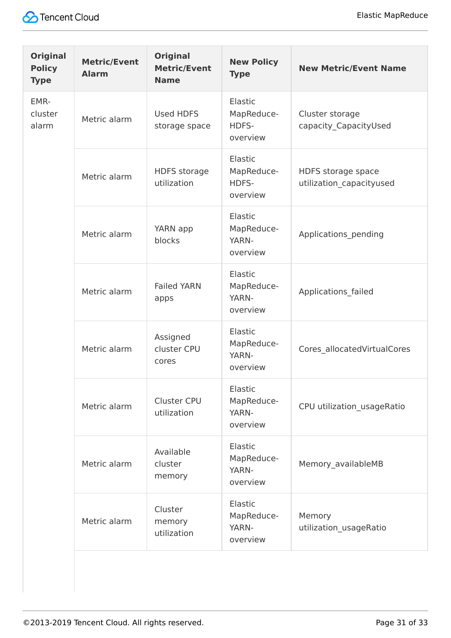

| <b>Original</b><br><b>Policy</b><br><b>Type</b> | <b>Metric/Event</b><br><b>Alarm</b> | <b>Original</b><br><b>Metric/Event</b><br><b>Name</b> | <b>New Policy</b><br><b>Type</b>           | <b>New Metric/Event Name</b>                   |
|-------------------------------------------------|-------------------------------------|-------------------------------------------------------|--------------------------------------------|------------------------------------------------|
| EMR-<br>cluster<br>alarm                        | Metric alarm                        | Used HDFS<br>storage space                            | Elastic<br>MapReduce-<br>HDFS-<br>overview | Cluster storage<br>capacity CapacityUsed       |
|                                                 | Metric alarm                        | <b>HDFS</b> storage<br>utilization                    | Elastic<br>MapReduce-<br>HDFS-<br>overview | HDFS storage space<br>utilization_capacityused |
|                                                 | Metric alarm                        | YARN app<br>blocks                                    | Elastic<br>MapReduce-<br>YARN-<br>overview | Applications_pending                           |
|                                                 | Metric alarm                        | <b>Failed YARN</b><br>apps                            | Elastic<br>MapReduce-<br>YARN-<br>overview | Applications_failed                            |
|                                                 | Metric alarm                        | Assigned<br>cluster CPU<br>cores                      | Elastic<br>MapReduce-<br>YARN-<br>overview | Cores_allocatedVirtualCores                    |
|                                                 | Metric alarm                        | <b>Cluster CPU</b><br>utilization                     | Elastic<br>MapReduce-<br>YARN-<br>overview | CPU utilization_usageRatio                     |
|                                                 | Metric alarm                        | Available<br>cluster<br>memory                        | Elastic<br>MapReduce-<br>YARN-<br>overview | Memory availableMB                             |
|                                                 | Metric alarm                        | Cluster<br>memory<br>utilization                      | Elastic<br>MapReduce-<br>YARN-<br>overview | Memory<br>utilization_usageRatio               |
|                                                 |                                     |                                                       |                                            |                                                |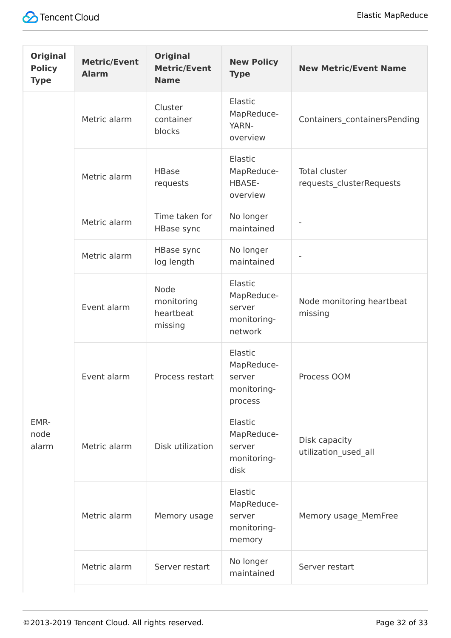| <b>Original</b><br><b>Policy</b><br><b>Type</b> | <b>Metric/Event</b><br><b>Alarm</b> | <b>Original</b><br><b>Metric/Event</b><br><b>Name</b> | <b>New Policy</b><br><b>Type</b>                          | <b>New Metric/Event Name</b>                     |
|-------------------------------------------------|-------------------------------------|-------------------------------------------------------|-----------------------------------------------------------|--------------------------------------------------|
|                                                 | Metric alarm                        | Cluster<br>container<br>blocks                        | Elastic<br>MapReduce-<br>YARN-<br>overview                | Containers_containersPending                     |
|                                                 | Metric alarm                        | <b>HBase</b><br>requests                              | Elastic<br>MapReduce-<br>HBASE-<br>overview               | <b>Total cluster</b><br>requests_clusterRequests |
|                                                 | Metric alarm                        | Time taken for<br>HBase sync                          | No longer<br>maintained                                   |                                                  |
|                                                 | Metric alarm                        | <b>HBase sync</b><br>log length                       | No longer<br>maintained                                   |                                                  |
|                                                 | Event alarm                         | Node<br>monitoring<br>heartbeat<br>missing            | Elastic<br>MapReduce-<br>server<br>monitoring-<br>network | Node monitoring heartbeat<br>missing             |
|                                                 | Event alarm                         | Process restart                                       | Elastic<br>MapReduce-<br>server<br>monitoring-<br>process | Process OOM                                      |
| EMR-<br>node<br>alarm                           | Metric alarm                        | Disk utilization                                      | Elastic<br>MapReduce-<br>server<br>monitoring-<br>disk    | Disk capacity<br>utilization used all            |
|                                                 | Metric alarm                        | Memory usage                                          | Elastic<br>MapReduce-<br>server<br>monitoring-<br>memory  | Memory usage_MemFree                             |
|                                                 | Metric alarm                        | Server restart                                        | No longer<br>maintained                                   | Server restart                                   |